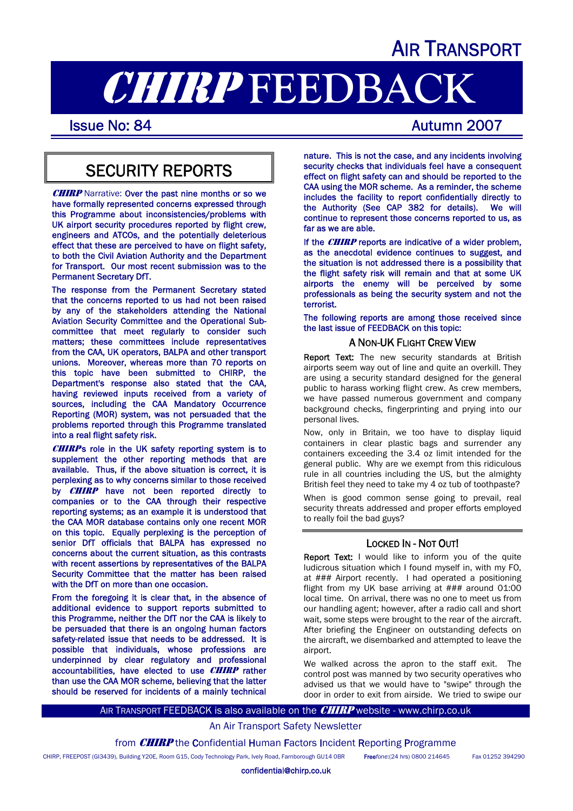## AIR TRANSPORT

# **CHIRP FEEDBACK**<br>Issue No: 84

### SECURITY REPORTS

**CHIRP** Narrative: Over the past nine months or so we have formally represented concerns expressed through this Programme about inconsistencies/problems with UK airport security procedures reported by flight crew, engineers and ATCOs, and the potentially deleterious effect that these are perceived to have on flight safety, to both the Civil Aviation Authority and the Department for Transport. Our most recent submission was to the Permanent Secretary DfT.

The response from the Permanent Secretary stated that the concerns reported to us had not been raised by any of the stakeholders attending the National Aviation Security Committee and the Operational Subcommittee that meet regularly to consider such matters; these committees include representatives from the CAA, UK operators, BALPA and other transport unions. Moreover, whereas more than 70 reports on this topic have been submitted to CHIRP, the Department's response also stated that the CAA, having reviewed inputs received from a variety of sources, including the CAA Mandatory Occurrence Reporting (MOR) system, was not persuaded that the problems reported through this Programme translated into a real flight safety risk.

**CHIRP**'s role in the UK safety reporting system is to supplement the other reporting methods that are available. Thus, if the above situation is correct, it is perplexing as to why concerns similar to those received by **CHIRP** have not been reported directly to companies or to the CAA through their respective reporting systems; as an example it is understood that the CAA MOR database contains only one recent MOR on this topic. Equally perplexing is the perception of senior DfT officials that BALPA has expressed no concerns about the current situation, as this contrasts with recent assertions by representatives of the BALPA Security Committee that the matter has been raised with the DfT on more than one occasion.

From the foregoing it is clear that, in the absence of additional evidence to support reports submitted to this Programme, neither the DfT nor the CAA is likely to be persuaded that there is an ongoing human factors safety-related issue that needs to be addressed. It is possible that individuals, whose professions are underpinned by clear regulatory and professional accountabilities, have elected to use **CHIRP** rather than use the CAA MOR scheme, believing that the latter should be reserved for incidents of a mainly technical

nature. This is not the case, and any incidents involving security checks that individuals feel have a consequent effect on flight safety can and should be reported to the CAA using the MOR scheme. As a reminder, the scheme includes the facility to report confidentially directly to the Authority (See CAP 382 for details). We will continue to represent those concerns reported to us, as far as we are able.

If the  $CHIRP$  reports are indicative of a wider problem, as the anecdotal evidence continues to suggest, and the situation is not addressed there is a possibility that the flight safety risk will remain and that at some UK airports the enemy will be perceived by some professionals as being the security system and not the terrorist.

The following reports are among those received since the last issue of FEEDBACK on this topic:

### A NON-UK FLIGHT CREW VIEW

Report Text: The new security standards at British airports seem way out of line and quite an overkill. They are using a security standard designed for the general public to harass working flight crew. As crew members, we have passed numerous government and company background checks, fingerprinting and prying into our personal lives.

Now, only in Britain, we too have to display liquid containers in clear plastic bags and surrender any containers exceeding the 3.4 oz limit intended for the general public. Why are we exempt from this ridiculous rule in all countries including the US, but the almighty British feel they need to take my 4 oz tub of toothpaste?

When is good common sense going to prevail, real security threats addressed and proper efforts employed to really foil the bad guys?

### LOCKED IN - NOT OUT!

Report Text: I would like to inform you of the quite ludicrous situation which I found myself in, with my FO, at ### Airport recently. I had operated a positioning flight from my UK base arriving at ### around 01:00 local time. On arrival, there was no one to meet us from our handling agent; however, after a radio call and short wait, some steps were brought to the rear of the aircraft. After briefing the Engineer on outstanding defects on the aircraft, we disembarked and attempted to leave the airport

We walked across the apron to the staff exit. The control post was manned by two security operatives who advised us that we would have to "swipe" through the door in order to exit from airside. We tried to swipe our

AIR TRANSPORT FEEDBACK is also available on the **CHIRP** website - www.chirp.co.uk

### An Air Transport Safety Newsletter

from **CHIRP** the Confidential Human Factors Incident Reporting Programme

CHIRP, FREEPOST (GI3439), Building Y20E, Room G15, Cody Technology Park, Ively Road, Farnborough GU14 0BR Free*fone*:(24 hrs) 0800 214645 Fax 01252 394290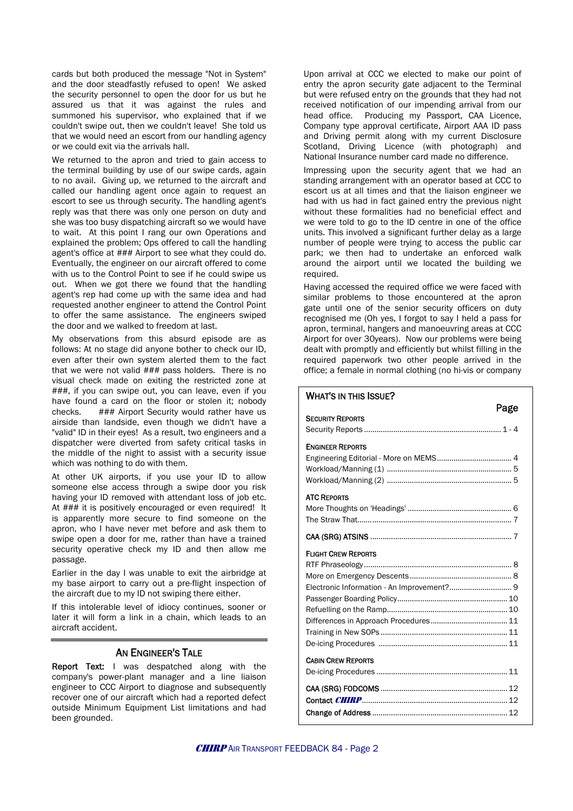cards but both produced the message "Not in System" and the door steadfastly refused to open! We asked the security personnel to open the door for us but he assured us that it was against the rules and summoned his supervisor, who explained that if we couldn't swipe out, then we couldn't leave! She told us that we would need an escort from our handling agency or we could exit via the arrivals hall.

We returned to the apron and tried to gain access to the terminal building by use of our swipe cards, again to no avail. Giving up, we returned to the aircraft and called our handling agent once again to request an escort to see us through security. The handling agent's reply was that there was only one person on duty and she was too busy dispatching aircraft so we would have to wait. At this point I rang our own Operations and explained the problem; Ops offered to call the handling agent's office at ### Airport to see what they could do. Eventually, the engineer on our aircraft offered to come with us to the Control Point to see if he could swipe us out. When we got there we found that the handling agent's rep had come up with the same idea and had requested another engineer to attend the Control Point to offer the same assistance. The engineers swiped the door and we walked to freedom at last.

My observations from this absurd episode are as follows: At no stage did anyone bother to check our ID, even after their own system alerted them to the fact that we were not valid ### pass holders. There is no visual check made on exiting the restricted zone at ###, if you can swipe out, you can leave, even if you have found a card on the floor or stolen it; nobody checks. ### Airport Security would rather have us airside than landside, even though we didn't have a "valid" ID in their eyes! As a result, two engineers and a dispatcher were diverted from safety critical tasks in the middle of the night to assist with a security issue which was nothing to do with them.

At other UK airports, if you use your ID to allow someone else access through a swipe door you risk having your ID removed with attendant loss of job etc. At ### it is positively encouraged or even required! It is apparently more secure to find someone on the apron, who I have never met before and ask them to swipe open a door for me, rather than have a trained security operative check my ID and then allow me passage.

Earlier in the day I was unable to exit the airbridge at my base airport to carry out a pre-flight inspection of the aircraft due to my ID not swiping there either.

If this intolerable level of idiocy continues, sooner or later it will form a link in a chain, which leads to an aircraft accident.

#### AN ENGINEER'S TALE

Report Text: I was despatched along with the company's power-plant manager and a line liaison engineer to CCC Airport to diagnose and subsequently recover one of our aircraft which had a reported defect outside Minimum Equipment List limitations and had been grounded.

Upon arrival at CCC we elected to make our point of entry the apron security gate adjacent to the Terminal but were refused entry on the grounds that they had not received notification of our impending arrival from our head office. Producing my Passport, CAA Licence, Producing my Passport, CAA Licence, Company type approval certificate, Airport AAA ID pass and Driving permit along with my current Disclosure Scotland, Driving Licence (with photograph) and National Insurance number card made no difference.

Impressing upon the security agent that we had an standing arrangement with an operator based at CCC to escort us at all times and that the liaison engineer we had with us had in fact gained entry the previous night without these formalities had no beneficial effect and we were told to go to the ID centre in one of the office units. This involved a significant further delay as a large number of people were trying to access the public car park; we then had to undertake an enforced walk around the airport until we located the building we required.

Having accessed the required office we were faced with similar problems to those encountered at the apron gate until one of the senior security officers on duty recognised me (Oh yes, I forgot to say I held a pass for apron, terminal, hangers and manoeuvring areas at CCC Airport for over 30years). Now our problems were being dealt with promptly and efficiently but whilst filling in the required paperwork two other people arrived in the office; a female in normal clothing (no hi-vis or company

Page

#### WHAT'S IN THIS ISSUE?

| ιακτ                       |
|----------------------------|
| <b>SECURITY REPORTS</b>    |
|                            |
| <b>ENGINEER REPORTS</b>    |
|                            |
|                            |
|                            |
|                            |
| <b>ATC REPORTS</b>         |
|                            |
|                            |
|                            |
| <b>FLIGHT CREW REPORTS</b> |
|                            |
|                            |
|                            |
|                            |
|                            |
|                            |
|                            |
|                            |
| <b>CABIN CREW REPORTS</b>  |
|                            |
|                            |
|                            |
|                            |
|                            |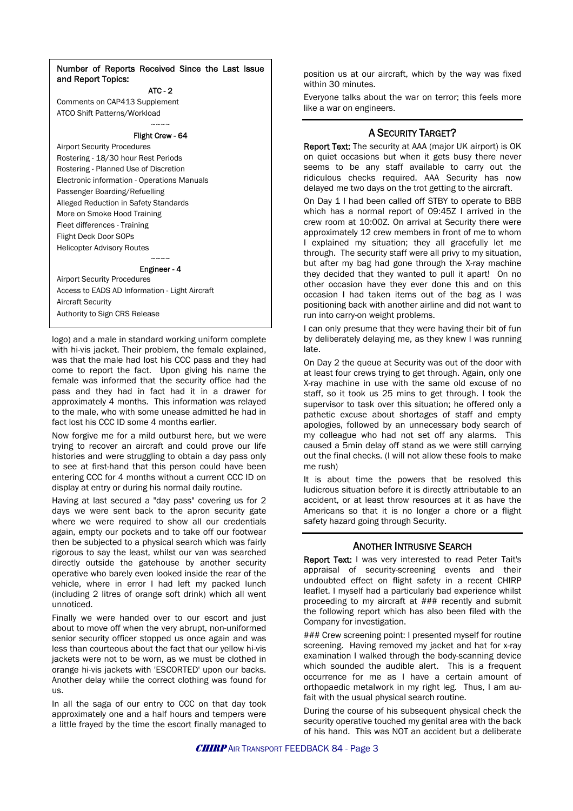#### Number of Reports Received Since the Last Issue and Report Topics:

ATC - 2

Comments on CAP413 Supplement ATCO Shift Patterns/Workload

> $\sim\sim\sim\sim$ Flight Crew - 64

Airport Security Procedures Rostering - 18/30 hour Rest Periods Rostering - Planned Use of Discretion Electronic information - Operations Manuals Passenger Boarding/Refuelling Alleged Reduction in Safety Standards More on Smoke Hood Training Fleet differences - Training Flight Deck Door SOPs Helicopter Advisory Routes

> $\sim\sim\sim\sim$ Engineer - 4

Airport Security Procedures Access to EADS AD Information - Light Aircraft Aircraft Security Authority to Sign CRS Release

logo) and a male in standard working uniform complete with hi-vis jacket. Their problem, the female explained, was that the male had lost his CCC pass and they had come to report the fact. Upon giving his name the female was informed that the security office had the pass and they had in fact had it in a drawer for approximately 4 months. This information was relayed to the male, who with some unease admitted he had in fact lost his CCC ID some 4 months earlier.

Now forgive me for a mild outburst here, but we were trying to recover an aircraft and could prove our life histories and were struggling to obtain a day pass only to see at first-hand that this person could have been entering CCC for 4 months without a current CCC ID on display at entry or during his normal daily routine.

Having at last secured a "day pass" covering us for 2 days we were sent back to the apron security gate where we were required to show all our credentials again, empty our pockets and to take off our footwear then be subjected to a physical search which was fairly rigorous to say the least, whilst our van was searched directly outside the gatehouse by another security operative who barely even looked inside the rear of the vehicle, where in error I had left my packed lunch (including 2 litres of orange soft drink) which all went unnoticed.

Finally we were handed over to our escort and just about to move off when the very abrupt, non-uniformed senior security officer stopped us once again and was less than courteous about the fact that our yellow hi-vis jackets were not to be worn, as we must be clothed in orange hi-vis jackets with 'ESCORTED' upon our backs. Another delay while the correct clothing was found for us.

In all the saga of our entry to CCC on that day took approximately one and a half hours and tempers were a little frayed by the time the escort finally managed to

position us at our aircraft, which by the way was fixed within 30 minutes.

Everyone talks about the war on terror; this feels more like a war on engineers.

### A SECURITY TARGET?

Report Text: The security at AAA (major UK airport) is OK on quiet occasions but when it gets busy there never seems to be any staff available to carry out the ridiculous checks required. AAA Security has now delayed me two days on the trot getting to the aircraft.

On Day 1 I had been called off STBY to operate to BBB which has a normal report of 09:45Z I arrived in the crew room at 10:00Z. On arrival at Security there were approximately 12 crew members in front of me to whom I explained my situation; they all gracefully let me through. The security staff were all privy to my situation, but after my bag had gone through the X-ray machine they decided that they wanted to pull it apart! On no other occasion have they ever done this and on this occasion I had taken items out of the bag as I was positioning back with another airline and did not want to run into carry-on weight problems.

I can only presume that they were having their bit of fun by deliberately delaying me, as they knew I was running late.

On Day 2 the queue at Security was out of the door with at least four crews trying to get through. Again, only one X-ray machine in use with the same old excuse of no staff, so it took us 25 mins to get through. I took the supervisor to task over this situation; he offered only a pathetic excuse about shortages of staff and empty apologies, followed by an unnecessary body search of my colleague who had not set off any alarms. This caused a 5min delay off stand as we were still carrying out the final checks. (I will not allow these fools to make me rush)

It is about time the powers that be resolved this ludicrous situation before it is directly attributable to an accident, or at least throw resources at it as have the Americans so that it is no longer a chore or a flight safety hazard going through Security.

### ANOTHER INTRUSIVE SEARCH

Report Text: I was very interested to read Peter Tait's appraisal of security-screening events and their undoubted effect on flight safety in a recent CHIRP leaflet. I myself had a particularly bad experience whilst proceeding to my aircraft at ### recently and submit the following report which has also been filed with the Company for investigation.

### Crew screening point: I presented myself for routine screening. Having removed my jacket and hat for x-ray examination I walked through the body-scanning device which sounded the audible alert. This is a frequent occurrence for me as I have a certain amount of orthopaedic metalwork in my right leg. Thus, I am aufait with the usual physical search routine.

During the course of his subsequent physical check the security operative touched my genital area with the back of his hand. This was NOT an accident but a deliberate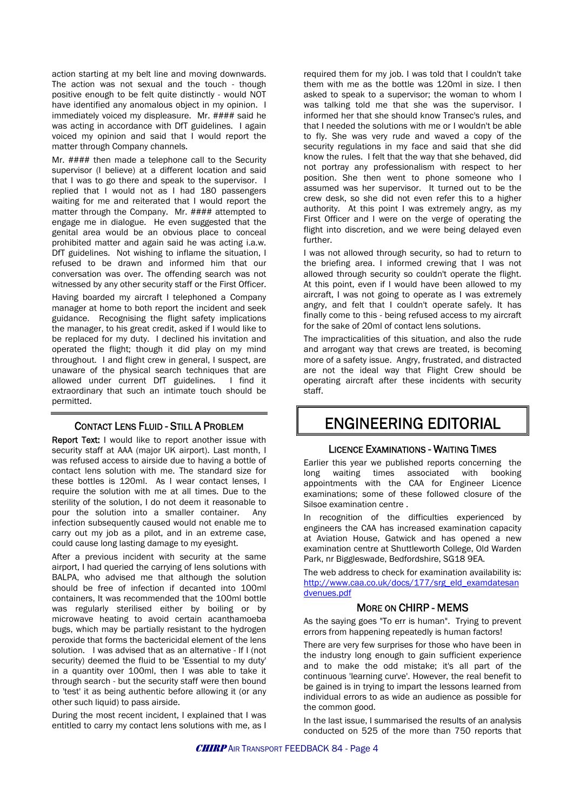action starting at my belt line and moving downwards. The action was not sexual and the touch - though positive enough to be felt quite distinctly - would NOT have identified any anomalous object in my opinion. I immediately voiced my displeasure. Mr. #### said he was acting in accordance with DfT guidelines. I again voiced my opinion and said that I would report the matter through Company channels.

Mr. #### then made a telephone call to the Security supervisor (I believe) at a different location and said that I was to go there and speak to the supervisor. I replied that I would not as I had 180 passengers waiting for me and reiterated that I would report the matter through the Company. Mr. #### attempted to engage me in dialogue. He even suggested that the genital area would be an obvious place to conceal prohibited matter and again said he was acting i.a.w. DfT guidelines. Not wishing to inflame the situation, I refused to be drawn and informed him that our conversation was over. The offending search was not witnessed by any other security staff or the First Officer.

Having boarded my aircraft I telephoned a Company manager at home to both report the incident and seek guidance. Recognising the flight safety implications the manager, to his great credit, asked if I would like to be replaced for my duty. I declined his invitation and operated the flight; though it did play on my mind throughout. I and flight crew in general, I suspect, are unaware of the physical search techniques that are allowed under current DfT guidelines. I find it extraordinary that such an intimate touch should be permitted.

### CONTACT LENS FLUID - STILL A PROBLEM

Report Text: I would like to report another issue with security staff at AAA (major UK airport). Last month, I was refused access to airside due to having a bottle of contact lens solution with me. The standard size for these bottles is 120ml. As I wear contact lenses, I require the solution with me at all times. Due to the sterility of the solution, I do not deem it reasonable to pour the solution into a smaller container. Any infection subsequently caused would not enable me to carry out my job as a pilot, and in an extreme case, could cause long lasting damage to my eyesight.

After a previous incident with security at the same airport, I had queried the carrying of lens solutions with BALPA, who advised me that although the solution should be free of infection if decanted into 100ml containers, It was recommended that the 100ml bottle was regularly sterilised either by boiling or by microwave heating to avoid certain acanthamoeba bugs, which may be partially resistant to the hydrogen peroxide that forms the bactericidal element of the lens solution. I was advised that as an alternative - If I (not security) deemed the fluid to be 'Essential to my duty' in a quantity over 100ml, then I was able to take it through search - but the security staff were then bound to 'test' it as being authentic before allowing it (or any other such liquid) to pass airside.

During the most recent incident, I explained that I was entitled to carry my contact lens solutions with me, as I

required them for my job. I was told that I couldn't take them with me as the bottle was 120ml in size. I then asked to speak to a supervisor; the woman to whom I was talking told me that she was the supervisor. I informed her that she should know Transec's rules, and that I needed the solutions with me or I wouldn't be able to fly. She was very rude and waved a copy of the security regulations in my face and said that she did know the rules. I felt that the way that she behaved, did not portray any professionalism with respect to her position. She then went to phone someone who I assumed was her supervisor. It turned out to be the crew desk, so she did not even refer this to a higher authority. At this point I was extremely angry, as my First Officer and I were on the verge of operating the flight into discretion, and we were being delayed even further.

I was not allowed through security, so had to return to the briefing area. I informed crewing that I was not allowed through security so couldn't operate the flight. At this point, even if I would have been allowed to my aircraft, I was not going to operate as I was extremely angry, and felt that I couldn't operate safely. It has finally come to this - being refused access to my aircraft for the sake of 20ml of contact lens solutions.

The impracticalities of this situation, and also the rude and arrogant way that crews are treated, is becoming more of a safety issue. Angry, frustrated, and distracted are not the ideal way that Flight Crew should be operating aircraft after these incidents with security staff.

### ENGINEERING EDITORIAL

### LICENCE EXAMINATIONS - WAITING TIMES

Earlier this year we published reports concerning the long waiting times associated with booking appointments with the CAA for Engineer Licence examinations; some of these followed closure of the Silsoe examination centre .

In recognition of the difficulties experienced by engineers the CAA has increased examination capacity at Aviation House, Gatwick and has opened a new examination centre at Shuttleworth College, Old Warden Park, nr Biggleswade, Bedfordshire, SG18 9EA.

The web address to check for examination availability is: [http://www.caa.co.uk/docs/177/srg\\_eld\\_examdatesan](http://www.caa.co.uk/docs/177/srg_eld_examdatesandvenues.pdf) [dvenues.pdf](http://www.caa.co.uk/docs/177/srg_eld_examdatesandvenues.pdf)

### MORE ON CHIRP - MEMS

As the saying goes "To err is human". Trying to prevent errors from happening repeatedly is human factors!

There are very few surprises for those who have been in the industry long enough to gain sufficient experience and to make the odd mistake; it's all part of the continuous 'learning curve'. However, the real benefit to be gained is in trying to impart the lessons learned from individual errors to as wide an audience as possible for the common good.

In the last issue, I summarised the results of an analysis conducted on 525 of the more than 750 reports that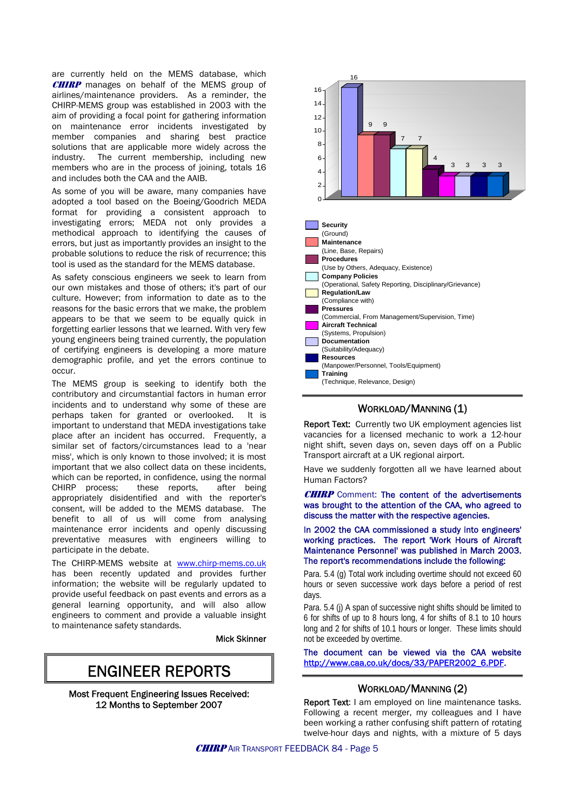are currently held on the MEMS database, which **CHIRP** manages on behalf of the MEMS group of airlines/maintenance providers. As a reminder, the CHIRP-MEMS group was established in 2003 with the aim of providing a focal point for gathering information on maintenance error incidents investigated by member companies and sharing best practice solutions that are applicable more widely across the industry. The current membership, including new members who are in the process of joining, totals 16 and includes both the CAA and the AAIB.

As some of you will be aware, many companies have adopted a tool based on the Boeing/Goodrich MEDA format for providing a consistent approach to investigating errors; MEDA not only provides a methodical approach to identifying the causes of errors, but just as importantly provides an insight to the probable solutions to reduce the risk of recurrence; this tool is used as the standard for the MEMS database.

As safety conscious engineers we seek to learn from our own mistakes and those of others; it's part of our culture. However; from information to date as to the reasons for the basic errors that we make, the problem appears to be that we seem to be equally quick in forgetting earlier lessons that we learned. With very few young engineers being trained currently, the population of certifying engineers is developing a more mature demographic profile, and yet the errors continue to occur.

The MEMS group is seeking to identify both the contributory and circumstantial factors in human error incidents and to understand why some of these are perhaps taken for granted or overlooked. It is important to understand that MEDA investigations take place after an incident has occurred. Frequently, a similar set of factors/circumstances lead to a 'near miss', which is only known to those involved; it is most important that we also collect data on these incidents, which can be reported, in confidence, using the normal CHIRP process; these reports, after being appropriately disidentified and with the reporter's consent, will be added to the MEMS database. The benefit to all of us will come from analysing maintenance error incidents and openly discussing preventative measures with engineers willing to participate in the debate.

The CHIRP-MEMS website at [www.chirp-mems.co.uk](http://www.chirp-mems.co.uk/) has been recently updated and provides further information; the website will be regularly updated to provide useful feedback on past events and errors as a general learning opportunity, and will also allow engineers to comment and provide a valuable insight to maintenance safety standards.

Mick Skinner

### ENGINEER REPORTS

Most Frequent Engineering Issues Received: 12 Months to September 2007



### WORKLOAD/MANNING (1)

Report Text: Currently two UK employment agencies list vacancies for a licensed mechanic to work a 12-hour night shift, seven days on, seven days off on a Public Transport aircraft at a UK regional airport.

Have we suddenly forgotten all we have learned about Human Factors?

**CHIRP** Comment: The content of the advertisements was brought to the attention of the CAA, who agreed to discuss the matter with the respective agencies.

In 2002 the CAA commissioned a study into engineers' working practices. The report 'Work Hours of Aircraft Maintenance Personnel' was published in March 2003. The report's recommendations include the following:

Para. 5.4 (g) Total work including overtime should not exceed 60 hours or seven successive work days before a period of rest days.

Para. 5.4 (i) A span of successive night shifts should be limited to 6 for shifts of up to 8 hours long, 4 for shifts of 8.1 to 10 hours long and 2 for shifts of 10.1 hours or longer. These limits should not be exceeded by overtime.

The document can be viewed via the CAA website [http://www.caa.co.uk/docs/33/PAPER2002\\_6.PDF](http://www.caa.co.uk/docs/33/PAPER2002_6.PDF).

### WORKLOAD/MANNING (2)

Report Text: I am employed on line maintenance tasks. Following a recent merger, my colleagues and I have been working a rather confusing shift pattern of rotating twelve-hour days and nights, with a mixture of 5 days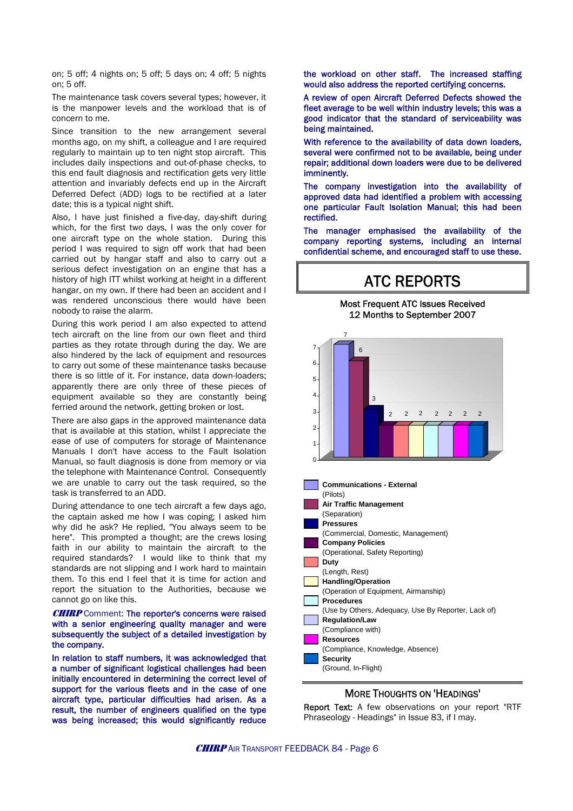on; 5 off; 4 nights on; 5 off; 5 days on; 4 off; 5 nights on; 5 off.

The maintenance task covers several types; however, it is the manpower levels and the workload that is of concern to me.

Since transition to the new arrangement several months ago, on my shift, a colleague and I are required regularly to maintain up to ten night stop aircraft. This includes daily inspections and out-of-phase checks, to this end fault diagnosis and rectification gets very little attention and invariably defects end up in the Aircraft Deferred Defect (ADD) logs to be rectified at a later date; this is a typical night shift.

Also, I have just finished a five-day, day-shift during which, for the first two days, I was the only cover for one aircraft type on the whole station. During this period I was required to sign off work that had been carried out by hangar staff and also to carry out a serious defect investigation on an engine that has a history of high ITT whilst working at height in a different hangar, on my own. If there had been an accident and I was rendered unconscious there would have been nobody to raise the alarm.

During this work period I am also expected to attend tech aircraft on the line from our own fleet and third parties as they rotate through during the day. We are also hindered by the lack of equipment and resources to carry out some of these maintenance tasks because there is so little of it. For instance, data down-loaders; apparently there are only three of these pieces of equipment available so they are constantly being ferried around the network, getting broken or lost.

There are also gaps in the approved maintenance data that is available at this station, whilst I appreciate the ease of use of computers for storage of Maintenance Manuals I don't have access to the Fault Isolation Manual, so fault diagnosis is done from memory or via the telephone with Maintenance Control. Consequently we are unable to carry out the task required, so the task is transferred to an ADD.

During attendance to one tech aircraft a few days ago, the captain asked me how I was coping; I asked him why did he ask? He replied, "You always seem to be here". This prompted a thought; are the crews losing faith in our ability to maintain the aircraft to the required standards? I would like to think that my standards are not slipping and I work hard to maintain them. To this end I feel that it is time for action and report the situation to the Authorities, because we cannot go on like this.

#### **CHIRP** Comment: The reporter's concerns were raised with a senior engineering quality manager and were subsequently the subject of a detailed investigation by the company.

In relation to staff numbers, it was acknowledged that a number of significant logistical challenges had been initially encountered in determining the correct level of support for the various fleets and in the case of one aircraft type, particular difficulties had arisen. As a result, the number of engineers qualified on the type was being increased; this would significantly reduce the workload on other staff. The increased staffing would also address the reported certifying concerns.

A review of open Aircraft Deferred Defects showed the fleet average to be well within industry levels; this was a good indicator that the standard of serviceability was being maintained.

With reference to the availability of data down loaders, several were confirmed not to be available, being under repair; additional down loaders were due to be delivered imminently.

The company investigation into the availability of approved data had identified a problem with accessing one particular Fault Isolation Manual; this had been rectified.

The manager emphasised the availability of the company reporting systems, including an internal confidential scheme, and encouraged staff to use these.

### ATC REPORTS

Most Frequent ATC Issues Received 12 Months to September 2007





### MORE THOUGHTS ON 'HEADINGS'

Report Text: A few observations on your report "RTF Phraseology - Headings" in Issue 83, if I may.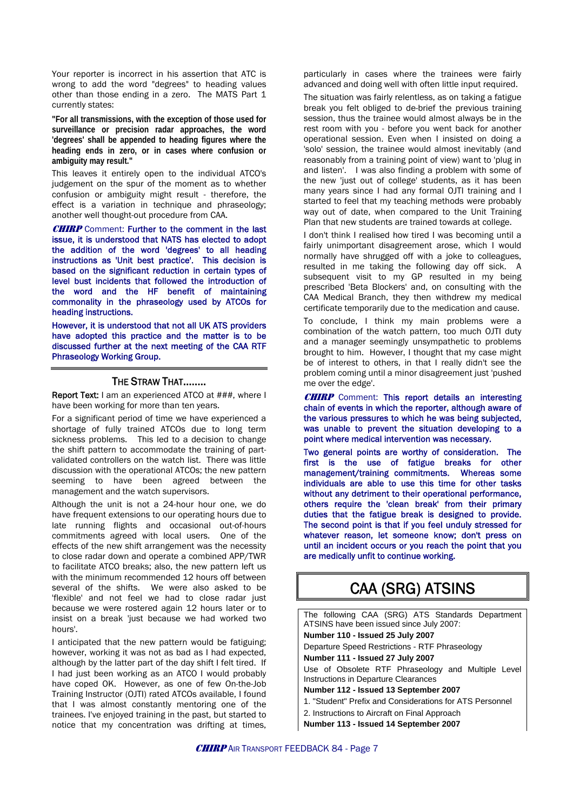Your reporter is incorrect in his assertion that ATC is wrong to add the word "degrees" to heading values other than those ending in a zero. The MATS Part 1 currently states:

**"For all transmissions, with the exception of those used for surveillance or precision radar approaches, the word 'degrees' shall be appended to heading figures where the heading ends in zero, or in cases where confusion or ambiguity may result."** 

This leaves it entirely open to the individual ATCO's judgement on the spur of the moment as to whether confusion or ambiguity might result - therefore, the effect is a variation in technique and phraseology; another well thought-out procedure from CAA.

**CHIRP** Comment: Further to the comment in the last issue, it is understood that NATS has elected to adopt the addition of the word 'degrees' to all heading instructions as 'Unit best practice'. This decision is based on the significant reduction in certain types of level bust incidents that followed the introduction of the word and the HF benefit of maintaining commonality in the phraseology used by ATCOs for heading instructions.

However, it is understood that not all UK ATS providers have adopted this practice and the matter is to be discussed further at the next meeting of the CAA RTF Phraseology Working Group.

### THE STRAW THAT……..

Report Text: I am an experienced ATCO at ###, where I have been working for more than ten years.

For a significant period of time we have experienced a shortage of fully trained ATCOs due to long term sickness problems. This led to a decision to change the shift pattern to accommodate the training of partvalidated controllers on the watch list. There was little discussion with the operational ATCOs; the new pattern seeming to have been agreed between the management and the watch supervisors.

Although the unit is not a 24-hour hour one, we do have frequent extensions to our operating hours due to late running flights and occasional out-of-hours commitments agreed with local users. One of the effects of the new shift arrangement was the necessity to close radar down and operate a combined APP/TWR to facilitate ATCO breaks; also, the new pattern left us with the minimum recommended 12 hours off between several of the shifts. We were also asked to be 'flexible' and not feel we had to close radar just because we were rostered again 12 hours later or to insist on a break 'just because we had worked two hours'.

I anticipated that the new pattern would be fatiguing; however, working it was not as bad as I had expected, although by the latter part of the day shift I felt tired. If I had just been working as an ATCO I would probably have coped OK. However, as one of few On-the-Job Training Instructor (OJTI) rated ATCOs available, I found that I was almost constantly mentoring one of the trainees. I've enjoyed training in the past, but started to notice that my concentration was drifting at times, particularly in cases where the trainees were fairly advanced and doing well with often little input required.

The situation was fairly relentless, as on taking a fatigue break you felt obliged to de-brief the previous training session, thus the trainee would almost always be in the rest room with you - before you went back for another operational session. Even when I insisted on doing a 'solo' session, the trainee would almost inevitably (and reasonably from a training point of view) want to 'plug in and listen'. I was also finding a problem with some of the new 'just out of college' students, as it has been many years since I had any formal OJTI training and I started to feel that my teaching methods were probably way out of date, when compared to the Unit Training Plan that new students are trained towards at college.

I don't think I realised how tired I was becoming until a fairly unimportant disagreement arose, which I would normally have shrugged off with a joke to colleagues, resulted in me taking the following day off sick. A subsequent visit to my GP resulted in my being prescribed 'Beta Blockers' and, on consulting with the CAA Medical Branch, they then withdrew my medical certificate temporarily due to the medication and cause.

To conclude, I think my main problems were a combination of the watch pattern, too much OJTI duty and a manager seemingly unsympathetic to problems brought to him. However, I thought that my case might be of interest to others, in that I really didn't see the problem coming until a minor disagreement just 'pushed me over the edge'.

**CHIRP** Comment: This report details an interesting chain of events in which the reporter, although aware of the various pressures to which he was being subjected, was unable to prevent the situation developing to a point where medical intervention was necessary.

Two general points are worthy of consideration. The first is the use of fatigue breaks for other management/training commitments. Whereas some individuals are able to use this time for other tasks without any detriment to their operational performance, others require the 'clean break' from their primary duties that the fatigue break is designed to provide. The second point is that if you feel unduly stressed for whatever reason, let someone know; don't press on until an incident occurs or you reach the point that you are medically unfit to continue working.

### CAA (SRG) ATSINS

The following CAA (SRG) ATS Standards Department ATSINS have been issued since July 2007: **Number 110 - Issued 25 July 2007**  Departure Speed Restrictions - RTF Phraseology **Number 111 - Issued 27 July 2007** Use of Obsolete RTF Phraseology and Multiple Level Instructions in Departure Clearances **Number 112 - Issued 13 September 2007** 1. "Student" Prefix and Considerations for ATS Personnel 2. Instructions to Aircraft on Final Approach **Number 113 - Issued 14 September 2007**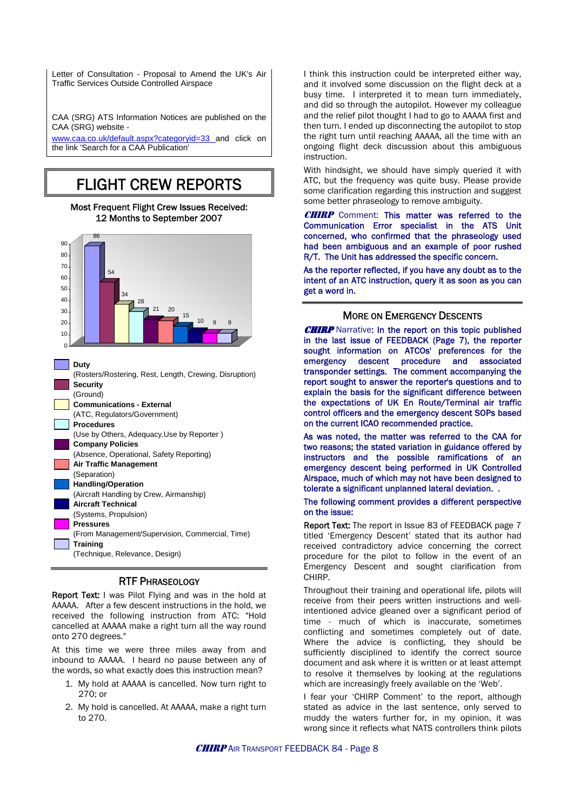Letter of Consultation - Proposal to Amend the UK's Air Traffic Services Outside Controlled Airspace

CAA (SRG) ATS Information Notices are published on the CAA (SRG) website -

[www.caa.co.uk/default.aspx?categoryid=33](http://www.caa.co.uk/default.aspx?categoryid=33) and click on the link 'Search for a CAA Publication'

### FLIGHT CREW REPORTS

### Most Frequent Flight Crew Issues Received: 12 Months to September 2007



| Security                                        |
|-------------------------------------------------|
| (Ground)                                        |
| <b>Communications - External</b>                |
| (ATC, Regulators/Government)                    |
| <b>Procedures</b>                               |
| (Use by Others, Adequacy, Use by Reporter)      |
| <b>Company Policies</b>                         |
| (Absence, Operational, Safety Reporting)        |
| Air Traffic Management                          |
| (Separation)                                    |
| <b>Handling/Operation</b>                       |
| (Aircraft Handling by Crew, Airmanship)         |
| <b>Aircraft Technical</b>                       |
| (Systems, Propulsion)                           |
| <b>Pressures</b>                                |
| (From Management/Supervision, Commercial, Time) |
| Training                                        |
| (Technique, Relevance, Design)                  |
|                                                 |

### RTF PHRASEOLOGY

Report Text: I was Pilot Flying and was in the hold at AAAAA. After a few descent instructions in the hold, we received the following instruction from ATC: "Hold cancelled at AAAAA make a right turn all the way round onto 270 degrees."

At this time we were three miles away from and inbound to AAAAA. I heard no pause between any of the words, so what exactly does this instruction mean?

- 1. My hold at AAAAA is cancelled. Now turn right to 270; or
- 2. My hold is cancelled. At AAAAA, make a right turn to 270.

I think this instruction could be interpreted either way, and it involved some discussion on the flight deck at a busy time. I interpreted it to mean turn immediately, and did so through the autopilot. However my colleague and the relief pilot thought I had to go to AAAAA first and then turn. I ended up disconnecting the autopilot to stop the right turn until reaching AAAAA, all the time with an ongoing flight deck discussion about this ambiguous instruction.

With hindsight, we should have simply queried it with ATC, but the frequency was quite busy. Please provide some clarification regarding this instruction and suggest some better phraseology to remove ambiguity.

**CHIRP** Comment: This matter was referred to the Communication Error specialist in the ATS Unit concerned, who confirmed that the phraseology used had been ambiguous and an example of poor rushed R/T. The Unit has addressed the specific concern.

As the reporter reflected, if you have any doubt as to the intent of an ATC instruction, query it as soon as you can get a word in.

### MORE ON EMERGENCY DESCENTS

**CHIRP** Narrative: In the report on this topic published in the last issue of FEEDBACK (Page 7), the reporter sought information on ATCOs' preferences for the emergency descent procedure and associated transponder settings. The comment accompanying the report sought to answer the reporter's questions and to explain the basis for the significant difference between the expectations of UK En Route/Terminal air traffic control officers and the emergency descent SOPs based on the current ICAO recommended practice.

As was noted, the matter was referred to the CAA for two reasons; the stated variation in guidance offered by instructors and the possible ramifications of an emergency descent being performed in UK Controlled Airspace, much of which may not have been designed to tolerate a significant unplanned lateral deviation. .

#### The following comment provides a different perspective on the issue:

Report Text: The report in Issue 83 of FEEDBACK page 7 titled 'Emergency Descent' stated that its author had received contradictory advice concerning the correct procedure for the pilot to follow in the event of an Emergency Descent and sought clarification from CHIRP.

Throughout their training and operational life, pilots will receive from their peers written instructions and wellintentioned advice gleaned over a significant period of time - much of which is inaccurate, sometimes conflicting and sometimes completely out of date. Where the advice is conflicting, they should be sufficiently disciplined to identify the correct source document and ask where it is written or at least attempt to resolve it themselves by looking at the regulations which are increasingly freely available on the 'Web'.

I fear your 'CHIRP Comment' to the report, although stated as advice in the last sentence, only served to muddy the waters further for, in my opinion, it was wrong since it reflects what NATS controllers think pilots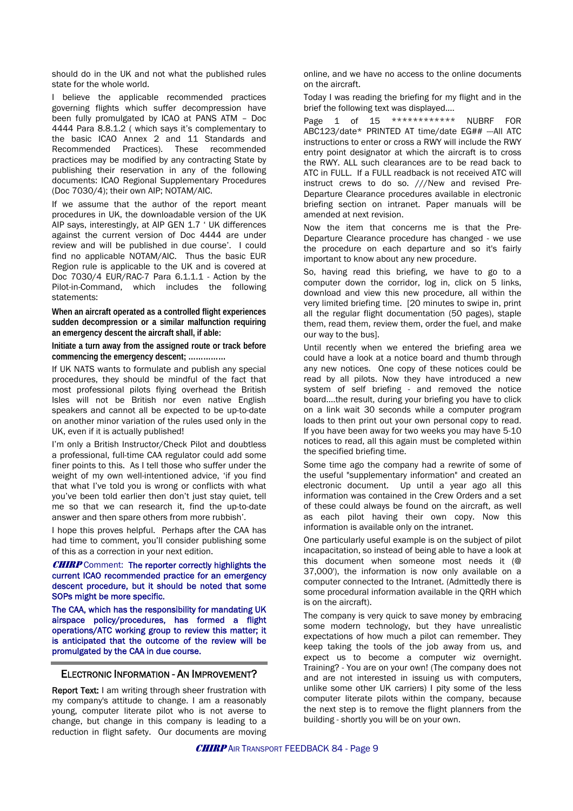should do in the UK and not what the published rules state for the whole world.

I believe the applicable recommended practices governing flights which suffer decompression have been fully promulgated by ICAO at PANS ATM – Doc 4444 Para 8.8.1.2 ( which says it's complementary to the basic ICAO Annex 2 and 11 Standards and Recommended Practices). These recommended practices may be modified by any contracting State by publishing their reservation in any of the following documents: ICAO Regional Supplementary Procedures (Doc 7030/4); their own AIP; NOTAM/AIC.

If we assume that the author of the report meant procedures in UK, the downloadable version of the UK AIP says, interestingly, at AIP GEN 1.7 ' UK differences against the current version of Doc 4444 are under review and will be published in due course'. I could find no applicable NOTAM/AIC. Thus the basic EUR Region rule is applicable to the UK and is covered at Doc 7030/4 EUR/RAC-7 Para 6.1.1.1 - Action by the Pilot-in-Command, which includes the following statements:

**When an aircraft operated as a controlled flight experiences sudden decompression or a similar malfunction requiring an emergency descent the aircraft shall, if able:** 

**Initiate a turn away from the assigned route or track before commencing the emergency descent; ……………** 

If UK NATS wants to formulate and publish any special procedures, they should be mindful of the fact that most professional pilots flying overhead the British Isles will not be British nor even native English speakers and cannot all be expected to be up-to-date on another minor variation of the rules used only in the UK, even if it is actually published!

I'm only a British Instructor/Check Pilot and doubtless a professional, full-time CAA regulator could add some finer points to this. As I tell those who suffer under the weight of my own well-intentioned advice, 'if you find that what I've told you is wrong or conflicts with what you've been told earlier then don't just stay quiet, tell me so that we can research it, find the up-to-date answer and then spare others from more rubbish'.

I hope this proves helpful. Perhaps after the CAA has had time to comment, you'll consider publishing some of this as a correction in your next edition.

**CHIRP** Comment: The reporter correctly highlights the current ICAO recommended practice for an emergency descent procedure, but it should be noted that some SOPs might be more specific.

The CAA, which has the responsibility for mandating UK airspace policy/procedures, has formed a flight operations/ATC working group to review this matter; it is anticipated that the outcome of the review will be promulgated by the CAA in due course.

### ELECTRONIC INFORMATION - AN IMPROVEMENT?

Report Text: I am writing through sheer frustration with my company's attitude to change. I am a reasonably young, computer literate pilot who is not averse to change, but change in this company is leading to a reduction in flight safety. Our documents are moving online, and we have no access to the online documents on the aircraft.

Today I was reading the briefing for my flight and in the brief the following text was displayed....

Page 1 of 15 \*\*\*\*\*\*\*\*\*\*\*\* NUBRF FOR ABC123/date\* PRINTED AT time/date EG## --- All ATC instructions to enter or cross a RWY will include the RWY entry point designator at which the aircraft is to cross the RWY. ALL such clearances are to be read back to ATC in FULL. If a FULL readback is not received ATC will instruct crews to do so. ///New and revised Pre-Departure Clearance procedures available in electronic briefing section on intranet. Paper manuals will be amended at next revision.

Now the item that concerns me is that the Pre-Departure Clearance procedure has changed - we use the procedure on each departure and so it's fairly important to know about any new procedure.

So, having read this briefing, we have to go to a computer down the corridor, log in, click on 5 links, download and view this new procedure, all within the very limited briefing time. [20 minutes to swipe in, print all the regular flight documentation (50 pages), staple them, read them, review them, order the fuel, and make our way to the bus].

Until recently when we entered the briefing area we could have a look at a notice board and thumb through any new notices. One copy of these notices could be read by all pilots. Now they have introduced a new system of self briefing - and removed the notice board....the result, during your briefing you have to click on a link wait 30 seconds while a computer program loads to then print out your own personal copy to read. If you have been away for two weeks you may have 5-10 notices to read, all this again must be completed within the specified briefing time.

Some time ago the company had a rewrite of some of the useful "supplementary information" and created an electronic document. Up until a year ago all this information was contained in the Crew Orders and a set of these could always be found on the aircraft, as well as each pilot having their own copy. Now this information is available only on the intranet.

One particularly useful example is on the subject of pilot incapacitation, so instead of being able to have a look at this document when someone most needs it (@ 37,000'), the information is now only available on a computer connected to the Intranet. (Admittedly there is some procedural information available in the QRH which is on the aircraft).

The company is very quick to save money by embracing some modern technology, but they have unrealistic expectations of how much a pilot can remember. They keep taking the tools of the job away from us, and expect us to become a computer wiz overnight. Training? - You are on your own! (The company does not and are not interested in issuing us with computers, unlike some other UK carriers) I pity some of the less computer literate pilots within the company, because the next step is to remove the flight planners from the building - shortly you will be on your own.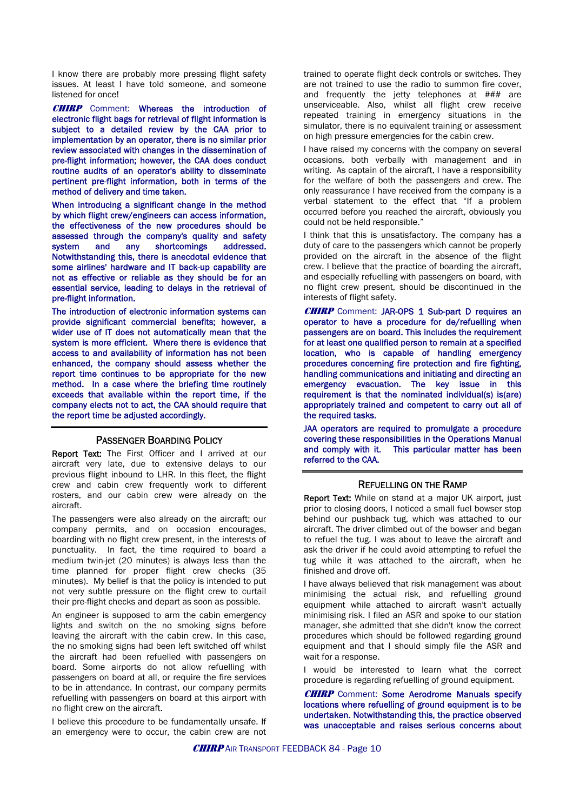I know there are probably more pressing flight safety issues. At least I have told someone, and someone listened for once!

**CHIRP** Comment: Whereas the introduction of electronic flight bags for retrieval of flight information is subject to a detailed review by the CAA prior to implementation by an operator, there is no similar prior review associated with changes in the dissemination of pre-flight information; however, the CAA does conduct routine audits of an operator's ability to disseminate pertinent pre-flight information, both in terms of the method of delivery and time taken.

When introducing a significant change in the method by which flight crew/engineers can access information, the effectiveness of the new procedures should be assessed through the company's quality and safety system and any shortcomings addressed. Notwithstanding this, there is anecdotal evidence that some airlines' hardware and IT back-up capability are not as effective or reliable as they should be for an essential service, leading to delays in the retrieval of pre-flight information.

The introduction of electronic information systems can provide significant commercial benefits; however, a wider use of IT does not automatically mean that the system is more efficient. Where there is evidence that access to and availability of information has not been enhanced, the company should assess whether the report time continues to be appropriate for the new method. In a case where the briefing time routinely exceeds that available within the report time, if the company elects not to act, the CAA should require that the report time be adjusted accordingly.

### PASSENGER BOARDING POLICY

Report Text: The First Officer and I arrived at our aircraft very late, due to extensive delays to our previous flight inbound to LHR. In this fleet, the flight crew and cabin crew frequently work to different rosters, and our cabin crew were already on the aircraft.

The passengers were also already on the aircraft; our company permits, and on occasion encourages, boarding with no flight crew present, in the interests of punctuality. In fact, the time required to board a medium twin-jet (20 minutes) is always less than the time planned for proper flight crew checks (35 minutes). My belief is that the policy is intended to put not very subtle pressure on the flight crew to curtail their pre-flight checks and depart as soon as possible.

An engineer is supposed to arm the cabin emergency lights and switch on the no smoking signs before leaving the aircraft with the cabin crew. In this case, the no smoking signs had been left switched off whilst the aircraft had been refuelled with passengers on board. Some airports do not allow refuelling with passengers on board at all, or require the fire services to be in attendance. In contrast, our company permits refuelling with passengers on board at this airport with no flight crew on the aircraft.

I believe this procedure to be fundamentally unsafe. If an emergency were to occur, the cabin crew are not trained to operate flight deck controls or switches. They are not trained to use the radio to summon fire cover, and frequently the jetty telephones at ### are unserviceable. Also, whilst all flight crew receive repeated training in emergency situations in the simulator, there is no equivalent training or assessment on high pressure emergencies for the cabin crew.

I have raised my concerns with the company on several occasions, both verbally with management and in writing. As captain of the aircraft, I have a responsibility for the welfare of both the passengers and crew. The only reassurance I have received from the company is a verbal statement to the effect that "If a problem occurred before you reached the aircraft, obviously you could not be held responsible."

I think that this is unsatisfactory. The company has a duty of care to the passengers which cannot be properly provided on the aircraft in the absence of the flight crew. I believe that the practice of boarding the aircraft, and especially refuelling with passengers on board, with no flight crew present, should be discontinued in the interests of flight safety.

**CHIRP** Comment: JAR-OPS 1 Sub-part D requires an operator to have a procedure for de/refuelling when passengers are on board. This includes the requirement for at least one qualified person to remain at a specified location, who is capable of handling emergency procedures concerning fire protection and fire fighting, handling communications and initiating and directing an emergency evacuation. The key issue in this requirement is that the nominated individual(s) is(are) appropriately trained and competent to carry out all of the required tasks.

JAA operators are required to promulgate a procedure covering these responsibilities in the Operations Manual<br>and comply with it. This particular matter has been This particular matter has been referred to the CAA.

#### REFUELLING ON THE RAMP

Report Text: While on stand at a major UK airport, just prior to closing doors, I noticed a small fuel bowser stop behind our pushback tug, which was attached to our aircraft. The driver climbed out of the bowser and began to refuel the tug. I was about to leave the aircraft and ask the driver if he could avoid attempting to refuel the tug while it was attached to the aircraft, when he finished and drove off.

I have always believed that risk management was about minimising the actual risk, and refuelling ground equipment while attached to aircraft wasn't actually minimising risk. I filed an ASR and spoke to our station manager, she admitted that she didn't know the correct procedures which should be followed regarding ground equipment and that I should simply file the ASR and wait for a response.

I would be interested to learn what the correct procedure is regarding refuelling of ground equipment.

**CHIRP** Comment: Some Aerodrome Manuals specify locations where refuelling of ground equipment is to be undertaken. Notwithstanding this, the practice observed was unacceptable and raises serious concerns about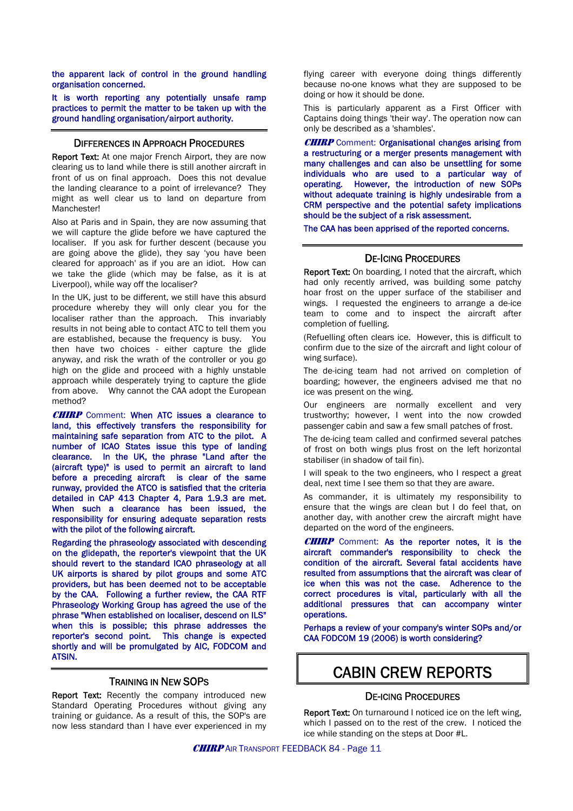the apparent lack of control in the ground handling organisation concerned.

It is worth reporting any potentially unsafe ramp practices to permit the matter to be taken up with the ground handling organisation/airport authority.

### DIFFERENCES IN APPROACH PROCEDURES

Report Text: At one major French Airport, they are now clearing us to land while there is still another aircraft in front of us on final approach. Does this not devalue the landing clearance to a point of irrelevance? They might as well clear us to land on departure from **Manchester!** 

Also at Paris and in Spain, they are now assuming that we will capture the glide before we have captured the localiser. If you ask for further descent (because you are going above the glide), they say 'you have been cleared for approach' as if you are an idiot. How can we take the glide (which may be false, as it is at Liverpool), while way off the localiser?

In the UK, just to be different, we still have this absurd procedure whereby they will only clear you for the localiser rather than the approach. This invariably results in not being able to contact ATC to tell them you are established, because the frequency is busy. You then have two choices - either capture the glide anyway, and risk the wrath of the controller or you go high on the glide and proceed with a highly unstable approach while desperately trying to capture the glide from above. Why cannot the CAA adopt the European method?

**CHIRP** Comment: When ATC issues a clearance to land, this effectively transfers the responsibility for maintaining safe separation from ATC to the pilot. A number of ICAO States issue this type of landing clearance. In the UK, the phrase "Land after the (aircraft type)" is used to permit an aircraft to land before a preceding aircraft is clear of the same runway, provided the ATCO is satisfied that the criteria detailed in CAP 413 Chapter 4, Para 1.9.3 are met. When such a clearance has been issued, the responsibility for ensuring adequate separation rests with the pilot of the following aircraft.

Regarding the phraseology associated with descending on the glidepath, the reporter's viewpoint that the UK should revert to the standard ICAO phraseology at all UK airports is shared by pilot groups and some ATC providers, but has been deemed not to be acceptable by the CAA. Following a further review, the CAA RTF Phraseology Working Group has agreed the use of the phrase "When established on localiser, descend on ILS" when this is possible; this phrase addresses the reporter's second point. This change is expected shortly and will be promulgated by AIC, FODCOM and ATSIN.

### TRAINING IN NEW SOPS

Report Text: Recently the company introduced new Standard Operating Procedures without giving any training or guidance. As a result of this, the SOP's are now less standard than I have ever experienced in my flying career with everyone doing things differently because no-one knows what they are supposed to be doing or how it should be done.

This is particularly apparent as a First Officer with Captains doing things 'their way'. The operation now can only be described as a 'shambles'.

**CHIRP** Comment: Organisational changes arising from a restructuring or a merger presents management with many challenges and can also be unsettling for some individuals who are used to a particular way of operating. However, the introduction of new SOPs without adequate training is highly undesirable from a CRM perspective and the potential safety implications should be the subject of a risk assessment.

The CAA has been apprised of the reported concerns.

### DE-ICING PROCEDURES

Report Text: On boarding, I noted that the aircraft, which had only recently arrived, was building some patchy hoar frost on the upper surface of the stabiliser and wings. I requested the engineers to arrange a de-ice team to come and to inspect the aircraft after completion of fuelling.

(Refuelling often clears ice. However, this is difficult to confirm due to the size of the aircraft and light colour of wing surface).

The de-icing team had not arrived on completion of boarding; however, the engineers advised me that no ice was present on the wing.

Our engineers are normally excellent and very trustworthy; however, I went into the now crowded passenger cabin and saw a few small patches of frost.

The de-icing team called and confirmed several patches of frost on both wings plus frost on the left horizontal stabiliser (in shadow of tail fin).

I will speak to the two engineers, who I respect a great deal, next time I see them so that they are aware.

As commander, it is ultimately my responsibility to ensure that the wings are clean but I do feel that, on another day, with another crew the aircraft might have departed on the word of the engineers.

CHIRP Comment: As the reporter notes, it is the aircraft commander's responsibility to check the condition of the aircraft. Several fatal accidents have resulted from assumptions that the aircraft was clear of ice when this was not the case. Adherence to the correct procedures is vital, particularly with all the additional pressures that can accompany winter operations.

Perhaps a review of your company's winter SOPs and/or CAA FODCOM 19 (2006) is worth considering?

### CABIN CREW REPORTS

### DE-ICING PROCEDURES

Report Text: On turnaround I noticed ice on the left wing, which I passed on to the rest of the crew. I noticed the ice while standing on the steps at Door #L.